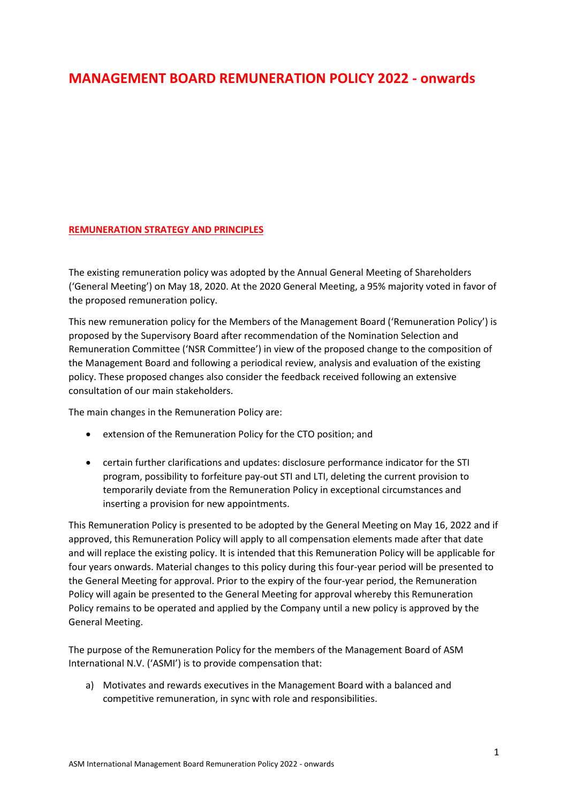# **MANAGEMENT BOARD REMUNERATION POLICY 2022 - onwards**

# **REMUNERATION STRATEGY AND PRINCIPLES**

The existing remuneration policy was adopted by the Annual General Meeting of Shareholders ('General Meeting') on May 18, 2020. At the 2020 General Meeting, a 95% majority voted in favor of the proposed remuneration policy.

This new remuneration policy for the Members of the Management Board ('Remuneration Policy') is proposed by the Supervisory Board after recommendation of the Nomination Selection and Remuneration Committee ('NSR Committee') in view of the proposed change to the composition of the Management Board and following a periodical review, analysis and evaluation of the existing policy. These proposed changes also consider the feedback received following an extensive consultation of our main stakeholders.

The main changes in the Remuneration Policy are:

- extension of the Remuneration Policy for the CTO position; and
- certain further clarifications and updates: disclosure performance indicator for the STI program, possibility to forfeiture pay-out STI and LTI, deleting the current provision to temporarily deviate from the Remuneration Policy in exceptional circumstances and inserting a provision for new appointments.

This Remuneration Policy is presented to be adopted by the General Meeting on May 16, 2022 and if approved, this Remuneration Policy will apply to all compensation elements made after that date and will replace the existing policy. It is intended that this Remuneration Policy will be applicable for four years onwards. Material changes to this policy during this four-year period will be presented to the General Meeting for approval. Prior to the expiry of the four-year period, the Remuneration Policy will again be presented to the General Meeting for approval whereby this Remuneration Policy remains to be operated and applied by the Company until a new policy is approved by the General Meeting.

The purpose of the Remuneration Policy for the members of the Management Board of ASM International N.V. ('ASMI') is to provide compensation that:

a) Motivates and rewards executives in the Management Board with a balanced and competitive remuneration, in sync with role and responsibilities.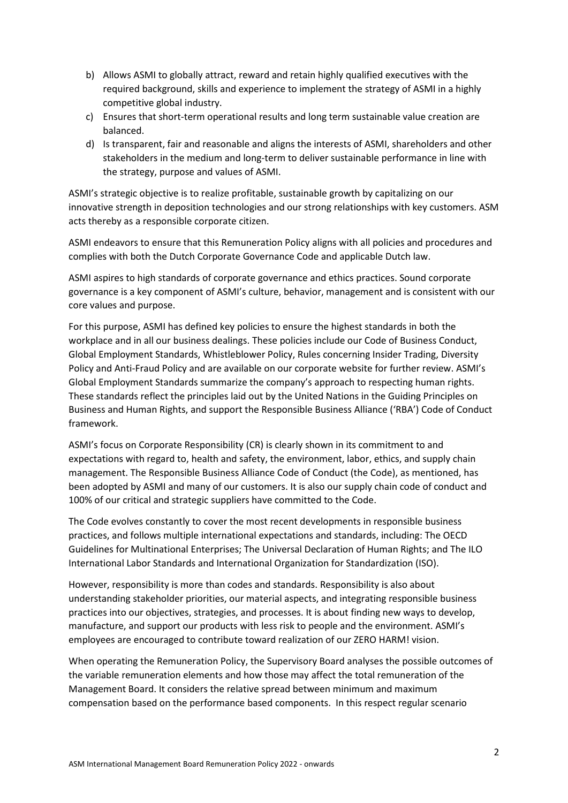- b) Allows ASMI to globally attract, reward and retain highly qualified executives with the required background, skills and experience to implement the strategy of ASMI in a highly competitive global industry.
- c) Ensures that short-term operational results and long term sustainable value creation are balanced.
- d) Is transparent, fair and reasonable and aligns the interests of ASMI, shareholders and other stakeholders in the medium and long-term to deliver sustainable performance in line with the strategy, purpose and values of ASMI.

ASMI's strategic objective is to realize profitable, sustainable growth by capitalizing on our innovative strength in deposition technologies and our strong relationships with key customers. ASM acts thereby as a responsible corporate citizen.

ASMI endeavors to ensure that this Remuneration Policy aligns with all policies and procedures and complies with both the Dutch Corporate Governance Code and applicable Dutch law.

ASMI aspires to high standards of corporate governance and ethics practices. Sound corporate governance is a key component of ASMI's culture, behavior, management and is consistent with our core values and purpose.

For this purpose, ASMI has defined key policies to ensure the highest standards in both the workplace and in all our business dealings. These policies include our Code of Business Conduct, Global Employment Standards, Whistleblower Policy, Rules concerning Insider Trading, Diversity Policy and Anti-Fraud Policy and are available on our corporate website for further review. ASMI's Global Employment Standards summarize the company's approach to respecting human rights. These standards reflect the principles laid out by the United Nations in the Guiding Principles on Business and Human Rights, and support the Responsible Business Alliance ('RBA') Code of Conduct framework.

ASMI's focus on Corporate Responsibility (CR) is clearly shown in its commitment to and expectations with regard to, health and safety, the environment, labor, ethics, and supply chain management. The Responsible Business Alliance Code of Conduct (the Code), as mentioned, has been adopted by ASMI and many of our customers. It is also our supply chain code of conduct and 100% of our critical and strategic suppliers have committed to the Code.

The Code evolves constantly to cover the most recent developments in responsible business practices, and follows multiple international expectations and standards, including: The OECD Guidelines for Multinational Enterprises; The Universal Declaration of Human Rights; and The ILO International Labor Standards and International Organization for Standardization (ISO).

However, responsibility is more than codes and standards. Responsibility is also about understanding stakeholder priorities, our material aspects, and integrating responsible business practices into our objectives, strategies, and processes. It is about finding new ways to develop, manufacture, and support our products with less risk to people and the environment. ASMI's employees are encouraged to contribute toward realization of our ZERO HARM! vision.

When operating the Remuneration Policy, the Supervisory Board analyses the possible outcomes of the variable remuneration elements and how those may affect the total remuneration of the Management Board. It considers the relative spread between minimum and maximum compensation based on the performance based components. In this respect regular scenario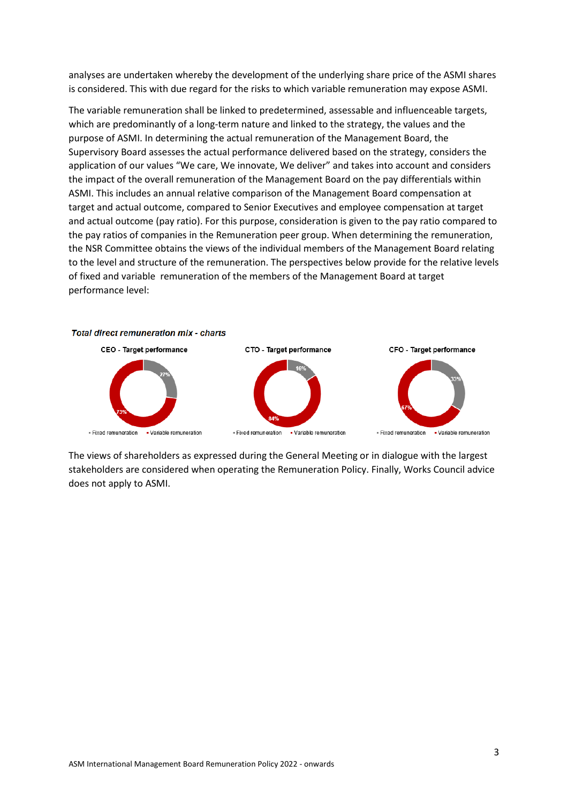analyses are undertaken whereby the development of the underlying share price of the ASMI shares is considered. This with due regard for the risks to which variable remuneration may expose ASMI.

The variable remuneration shall be linked to predetermined, assessable and influenceable targets, which are predominantly of a long-term nature and linked to the strategy, the values and the purpose of ASMI. In determining the actual remuneration of the Management Board, the Supervisory Board assesses the actual performance delivered based on the strategy, considers the application of our values "We care, We innovate, We deliver" and takes into account and considers the impact of the overall remuneration of the Management Board on the pay differentials within ASMI. This includes an annual relative comparison of the Management Board compensation at target and actual outcome, compared to Senior Executives and employee compensation at target and actual outcome (pay ratio). For this purpose, consideration is given to the pay ratio compared to the pay ratios of companies in the Remuneration peer group. When determining the remuneration, the NSR Committee obtains the views of the individual members of the Management Board relating to the level and structure of the remuneration. The perspectives below provide for the relative levels of fixed and variable remuneration of the members of the Management Board at target performance level:



The views of shareholders as expressed during the General Meeting or in dialogue with the largest stakeholders are considered when operating the Remuneration Policy. Finally, Works Council advice does not apply to ASMI.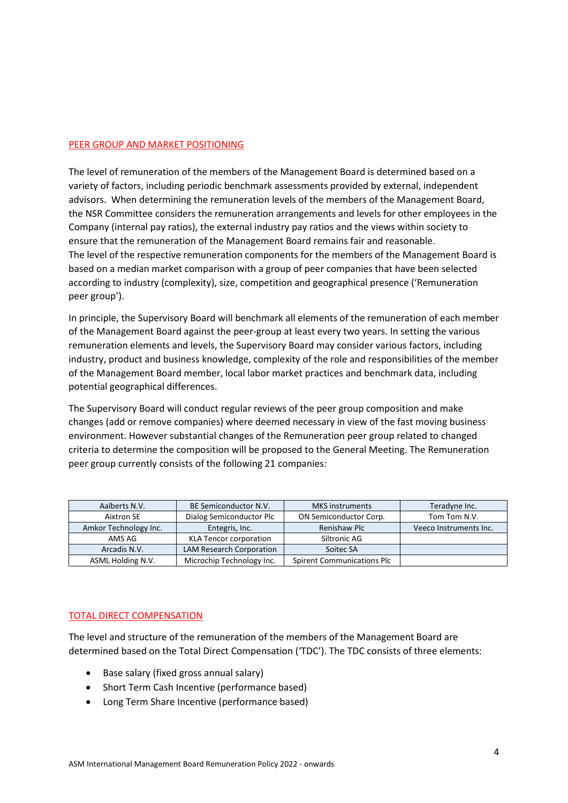### PEER GROUP AND MARKET POSITIONING

The level of remuneration of the members of the Management Board is determined based on a variety of factors, including periodic benchmark assessments provided by external, independent advisors. When determining the remuneration levels of the members of the Management Board, the NSR Committee considers the remuneration arrangements and levels for other employees in the Company (internal pay ratios), the external industry pay ratios and the views within society to ensure that the remuneration of the Management Board remains fair and reasonable. The level of the respective remuneration components for the members of the Management Board is based on a median market comparison with a group of peer companies that have been selected according to industry (complexity), size, competition and geographical presence ('Remuneration peer group').

In principle, the Supervisory Board will benchmark all elements of the remuneration of each member of the Management Board against the peer-group at least every two years. In setting the various remuneration elements and levels, the Supervisory Board may consider various factors, including industry, product and business knowledge, complexity of the role and responsibilities of the member of the Management Board member, local labor market practices and benchmark data, including potential geographical differences.

The Supervisory Board will conduct regular reviews of the peer group composition and make changes (add or remove companies) where deemed necessary in view of the fast moving business environment. However substantial changes of the Remuneration peer group related to changed criteria to determine the composition will be proposed to the General Meeting. The Remuneration peer group currently consists of the following 21 companies:

| Aalberts N.V.         | BE Semiconductor N.V.           | <b>MKS</b> instruments            | Teradyne Inc.          |
|-----------------------|---------------------------------|-----------------------------------|------------------------|
| Aixtron SE            | Dialog Semiconductor Plc        | ON Semiconductor Corp.            | Tom Tom N.V.           |
| Amkor Technology Inc. | Entegris, Inc.                  | Renishaw Plc                      | Veeco Instruments Inc. |
| AMS AG                | <b>KLA Tencor corporation</b>   | Siltronic AG                      |                        |
| Arcadis N.V.          | <b>LAM Research Corporation</b> | Soitec SA                         |                        |
| ASML Holding N.V.     | Microchip Technology Inc.       | <b>Spirent Communications Plc</b> |                        |

### TOTAL DIRECT COMPENSATION

The level and structure of the remuneration of the members of the Management Board are determined based on the Total Direct Compensation ('TDC'). The TDC consists of three elements:

- Base salary (fixed gross annual salary)
- Short Term Cash Incentive (performance based)
- Long Term Share Incentive (performance based)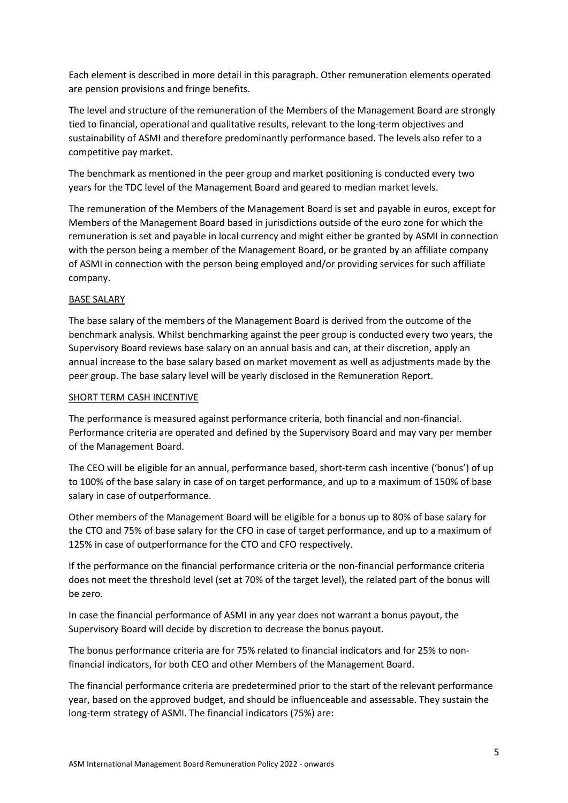Each element is described in more detail in this paragraph. Other remuneration elements operated are pension provisions and fringe benefits.

The level and structure of the remuneration of the Members of the Management Board are strongly tied to financial, operational and qualitative results, relevant to the long-term objectives and sustainability of ASMI and therefore predominantly performance based. The levels also refer to a competitive pay market.

The benchmark as mentioned in the peer group and market positioning is conducted every two years for the TDC level of the Management Board and geared to median market levels.

The remuneration of the Members of the Management Board is set and payable in euros, except for Members of the Management Board based in jurisdictions outside of the euro zone for which the remuneration is set and payable in local currency and might either be granted by ASMI in connection with the person being a member of the Management Board, or be granted by an affiliate company of ASMI in connection with the person being employed and/or providing services for such affiliate company.

# BASE SALARY

The base salary of the members of the Management Board is derived from the outcome of the benchmark analysis. Whilst benchmarking against the peer group is conducted every two years, the Supervisory Board reviews base salary on an annual basis and can, at their discretion, apply an annual increase to the base salary based on market movement as well as adjustments made by the peer group. The base salary level will be yearly disclosed in the Remuneration Report.

## SHORT TERM CASH INCENTIVE

The performance is measured against performance criteria, both financial and non-financial. Performance criteria are operated and defined by the Supervisory Board and may vary per member of the Management Board.

The CEO will be eligible for an annual, performance based, short-term cash incentive ('bonus') of up to 100% of the base salary in case of on target performance, and up to a maximum of 150% of base salary in case of outperformance.

Other members of the Management Board will be eligible for a bonus up to 80% of base salary for the CTO and 75% of base salary for the CFO in case of target performance, and up to a maximum of 125% in case of outperformance for the CTO and CFO respectively.

If the performance on the financial performance criteria or the non-financial performance criteria does not meet the threshold level (set at 70% of the target level), the related part of the bonus will be zero.

In case the financial performance of ASMI in any year does not warrant a bonus payout, the Supervisory Board will decide by discretion to decrease the bonus payout.

The bonus performance criteria are for 75% related to financial indicators and for 25% to nonfinancial indicators, for both CEO and other Members of the Management Board.

The financial performance criteria are predetermined prior to the start of the relevant performance year, based on the approved budget, and should be influenceable and assessable. They sustain the long-term strategy of ASMI. The financial indicators (75%) are: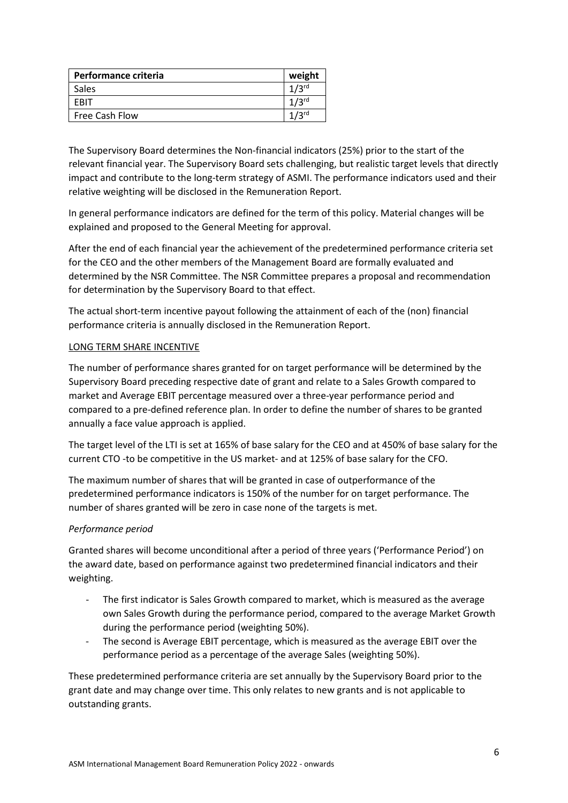| <b>Performance criteria</b> | weight           |
|-----------------------------|------------------|
| Sales                       | $1/2$ rd         |
| FRIT                        | $1/2$ rd         |
| Free Cash Flow              | 12 <sub>rd</sub> |

The Supervisory Board determines the Non-financial indicators (25%) prior to the start of the relevant financial year. The Supervisory Board sets challenging, but realistic target levels that directly impact and contribute to the long-term strategy of ASMI. The performance indicators used and their relative weighting will be disclosed in the Remuneration Report.

In general performance indicators are defined for the term of this policy. Material changes will be explained and proposed to the General Meeting for approval.

After the end of each financial year the achievement of the predetermined performance criteria set for the CEO and the other members of the Management Board are formally evaluated and determined by the NSR Committee. The NSR Committee prepares a proposal and recommendation for determination by the Supervisory Board to that effect.

The actual short-term incentive payout following the attainment of each of the (non) financial performance criteria is annually disclosed in the Remuneration Report.

# LONG TERM SHARE INCENTIVE

The number of performance shares granted for on target performance will be determined by the Supervisory Board preceding respective date of grant and relate to a Sales Growth compared to market and Average EBIT percentage measured over a three-year performance period and compared to a pre-defined reference plan. In order to define the number of shares to be granted annually a face value approach is applied.

The target level of the LTI is set at 165% of base salary for the CEO and at 450% of base salary for the current CTO -to be competitive in the US market- and at 125% of base salary for the CFO.

The maximum number of shares that will be granted in case of outperformance of the predetermined performance indicators is 150% of the number for on target performance. The number of shares granted will be zero in case none of the targets is met.

# *Performance period*

Granted shares will become unconditional after a period of three years ('Performance Period') on the award date, based on performance against two predetermined financial indicators and their weighting.

- The first indicator is Sales Growth compared to market, which is measured as the average own Sales Growth during the performance period, compared to the average Market Growth during the performance period (weighting 50%).
- The second is Average EBIT percentage, which is measured as the average EBIT over the performance period as a percentage of the average Sales (weighting 50%).

These predetermined performance criteria are set annually by the Supervisory Board prior to the grant date and may change over time. This only relates to new grants and is not applicable to outstanding grants.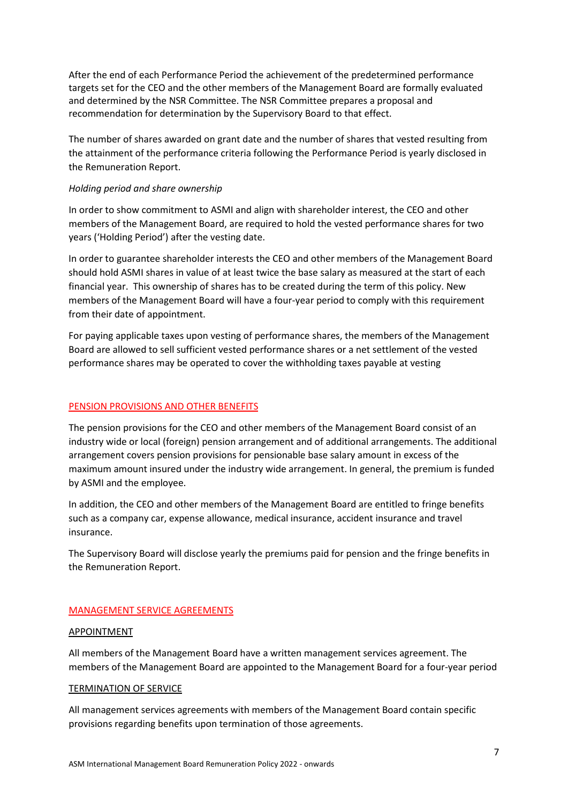After the end of each Performance Period the achievement of the predetermined performance targets set for the CEO and the other members of the Management Board are formally evaluated and determined by the NSR Committee. The NSR Committee prepares a proposal and recommendation for determination by the Supervisory Board to that effect.

The number of shares awarded on grant date and the number of shares that vested resulting from the attainment of the performance criteria following the Performance Period is yearly disclosed in the Remuneration Report.

### *Holding period and share ownership*

In order to show commitment to ASMI and align with shareholder interest, the CEO and other members of the Management Board, are required to hold the vested performance shares for two years ('Holding Period') after the vesting date.

In order to guarantee shareholder interests the CEO and other members of the Management Board should hold ASMI shares in value of at least twice the base salary as measured at the start of each financial year. This ownership of shares has to be created during the term of this policy. New members of the Management Board will have a four-year period to comply with this requirement from their date of appointment.

For paying applicable taxes upon vesting of performance shares, the members of the Management Board are allowed to sell sufficient vested performance shares or a net settlement of the vested performance shares may be operated to cover the withholding taxes payable at vesting

### PENSION PROVISIONS AND OTHER BENEFITS

The pension provisions for the CEO and other members of the Management Board consist of an industry wide or local (foreign) pension arrangement and of additional arrangements. The additional arrangement covers pension provisions for pensionable base salary amount in excess of the maximum amount insured under the industry wide arrangement. In general, the premium is funded by ASMI and the employee.

In addition, the CEO and other members of the Management Board are entitled to fringe benefits such as a company car, expense allowance, medical insurance, accident insurance and travel insurance.

The Supervisory Board will disclose yearly the premiums paid for pension and the fringe benefits in the Remuneration Report.

### MANAGEMENT SERVICE AGREEMENTS

### APPOINTMENT

All members of the Management Board have a written management services agreement. The members of the Management Board are appointed to the Management Board for a four-year period

#### TERMINATION OF SERVICE

All management services agreements with members of the Management Board contain specific provisions regarding benefits upon termination of those agreements.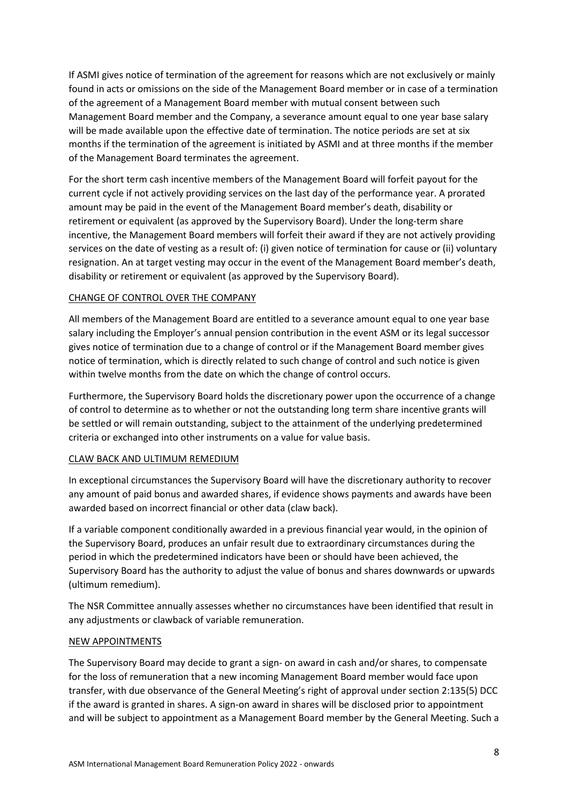If ASMI gives notice of termination of the agreement for reasons which are not exclusively or mainly found in acts or omissions on the side of the Management Board member or in case of a termination of the agreement of a Management Board member with mutual consent between such Management Board member and the Company, a severance amount equal to one year base salary will be made available upon the effective date of termination. The notice periods are set at six months if the termination of the agreement is initiated by ASMI and at three months if the member of the Management Board terminates the agreement.

For the short term cash incentive members of the Management Board will forfeit payout for the current cycle if not actively providing services on the last day of the performance year. A prorated amount may be paid in the event of the Management Board member's death, disability or retirement or equivalent (as approved by the Supervisory Board). Under the long-term share incentive, the Management Board members will forfeit their award if they are not actively providing services on the date of vesting as a result of: (i) given notice of termination for cause or (ii) voluntary resignation. An at target vesting may occur in the event of the Management Board member's death, disability or retirement or equivalent (as approved by the Supervisory Board).

### CHANGE OF CONTROL OVER THE COMPANY

All members of the Management Board are entitled to a severance amount equal to one year base salary including the Employer's annual pension contribution in the event ASM or its legal successor gives notice of termination due to a change of control or if the Management Board member gives notice of termination, which is directly related to such change of control and such notice is given within twelve months from the date on which the change of control occurs.

Furthermore, the Supervisory Board holds the discretionary power upon the occurrence of a change of control to determine as to whether or not the outstanding long term share incentive grants will be settled or will remain outstanding, subject to the attainment of the underlying predetermined criteria or exchanged into other instruments on a value for value basis.

### CLAW BACK AND ULTIMUM REMEDIUM

In exceptional circumstances the Supervisory Board will have the discretionary authority to recover any amount of paid bonus and awarded shares, if evidence shows payments and awards have been awarded based on incorrect financial or other data (claw back).

If a variable component conditionally awarded in a previous financial year would, in the opinion of the Supervisory Board, produces an unfair result due to extraordinary circumstances during the period in which the predetermined indicators have been or should have been achieved, the Supervisory Board has the authority to adjust the value of bonus and shares downwards or upwards (ultimum remedium).

The NSR Committee annually assesses whether no circumstances have been identified that result in any adjustments or clawback of variable remuneration.

### NEW APPOINTMENTS

The Supervisory Board may decide to grant a sign- on award in cash and/or shares, to compensate for the loss of remuneration that a new incoming Management Board member would face upon transfer, with due observance of the General Meeting's right of approval under section 2:135(5) DCC if the award is granted in shares. A sign-on award in shares will be disclosed prior to appointment and will be subject to appointment as a Management Board member by the General Meeting. Such a